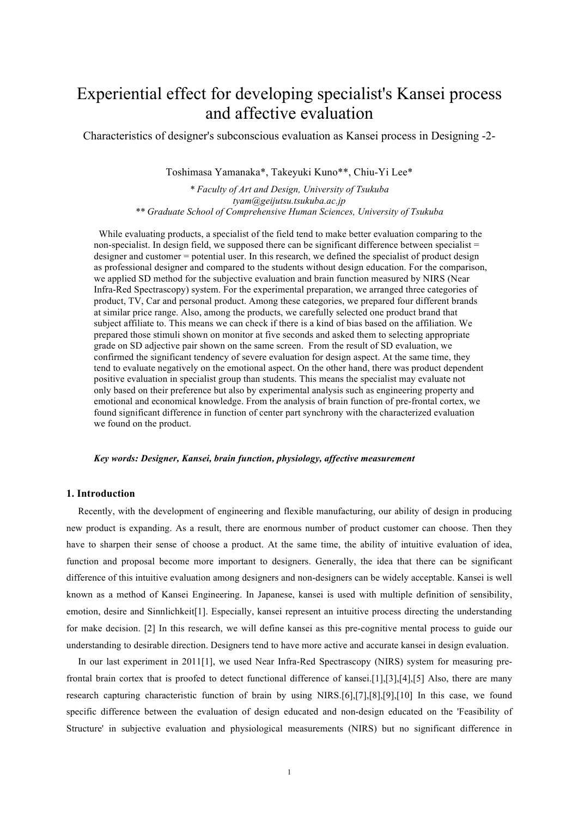# Experiential effect for developing specialist's Kansei process and affective evaluation

Characteristics of designer's subconscious evaluation as Kansei process in Designing -2-

Toshimasa Yamanaka\*, Takeyuki Kuno\*\*, Chiu-Yi Lee\*

*\* Faculty of Art and Design, University of Tsukuba tyam@geijutsu.tsukuba.ac.jp \*\* Graduate School of Comprehensive Human Sciences, University of Tsukuba*

While evaluating products, a specialist of the field tend to make better evaluation comparing to the non-specialist. In design field, we supposed there can be significant difference between specialist  $=$ designer and customer = potential user. In this research, we defined the specialist of product design as professional designer and compared to the students without design education. For the comparison, we applied SD method for the subjective evaluation and brain function measured by NIRS (Near Infra-Red Spectrascopy) system. For the experimental preparation, we arranged three categories of product, TV, Car and personal product. Among these categories, we prepared four different brands at similar price range. Also, among the products, we carefully selected one product brand that subject affiliate to. This means we can check if there is a kind of bias based on the affiliation. We prepared those stimuli shown on monitor at five seconds and asked them to selecting appropriate grade on SD adjective pair shown on the same screen. From the result of SD evaluation, we confirmed the significant tendency of severe evaluation for design aspect. At the same time, they tend to evaluate negatively on the emotional aspect. On the other hand, there was product dependent positive evaluation in specialist group than students. This means the specialist may evaluate not only based on their preference but also by experimental analysis such as engineering property and emotional and economical knowledge. From the analysis of brain function of pre-frontal cortex, we found significant difference in function of center part synchrony with the characterized evaluation we found on the product.

#### *Key words: Designer, Kansei, brain function, physiology, affective measurement*

# **1. Introduction**

Recently, with the development of engineering and flexible manufacturing, our ability of design in producing new product is expanding. As a result, there are enormous number of product customer can choose. Then they have to sharpen their sense of choose a product. At the same time, the ability of intuitive evaluation of idea, function and proposal become more important to designers. Generally, the idea that there can be significant difference of this intuitive evaluation among designers and non-designers can be widely acceptable. Kansei is well known as a method of Kansei Engineering. In Japanese, kansei is used with multiple definition of sensibility, emotion, desire and Sinnlichkeit[1]. Especially, kansei represent an intuitive process directing the understanding for make decision. [2] In this research, we will define kansei as this pre-cognitive mental process to guide our understanding to desirable direction. Designers tend to have more active and accurate kansei in design evaluation.

In our last experiment in 2011[1], we used Near Infra-Red Spectrascopy (NIRS) system for measuring prefrontal brain cortex that is proofed to detect functional difference of kansei.[1],[3],[4],[5] Also, there are many research capturing characteristic function of brain by using NIRS.[6],[7],[8],[9],[10] In this case, we found specific difference between the evaluation of design educated and non-design educated on the 'Feasibility of Structure' in subjective evaluation and physiological measurements (NIRS) but no significant difference in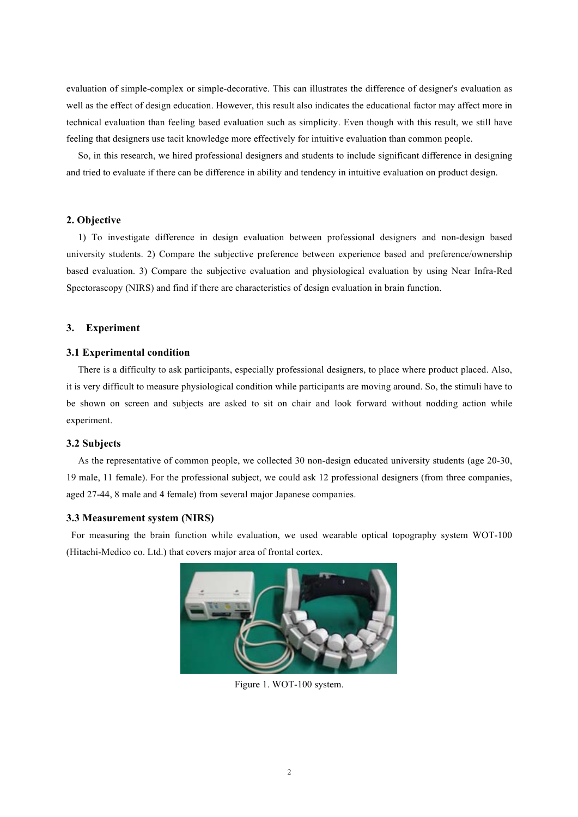evaluation of simple-complex or simple-decorative. This can illustrates the difference of designer's evaluation as well as the effect of design education. However, this result also indicates the educational factor may affect more in technical evaluation than feeling based evaluation such as simplicity. Even though with this result, we still have feeling that designers use tacit knowledge more effectively for intuitive evaluation than common people.

So, in this research, we hired professional designers and students to include significant difference in designing and tried to evaluate if there can be difference in ability and tendency in intuitive evaluation on product design.

## **2. Objective**

1) To investigate difference in design evaluation between professional designers and non-design based university students. 2) Compare the subjective preference between experience based and preference/ownership based evaluation. 3) Compare the subjective evaluation and physiological evaluation by using Near Infra-Red Spectorascopy (NIRS) and find if there are characteristics of design evaluation in brain function.

# **3. Experiment**

#### **3.1 Experimental condition**

There is a difficulty to ask participants, especially professional designers, to place where product placed. Also, it is very difficult to measure physiological condition while participants are moving around. So, the stimuli have to be shown on screen and subjects are asked to sit on chair and look forward without nodding action while experiment.

# **3.2 Subjects**

As the representative of common people, we collected 30 non-design educated university students (age 20-30, 19 male, 11 female). For the professional subject, we could ask 12 professional designers (from three companies, aged 27-44, 8 male and 4 female) from several major Japanese companies.

## **3.3 Measurement system (NIRS)**

For measuring the brain function while evaluation, we used wearable optical topography system WOT-100 (Hitachi-Medico co. Ltd.) that covers major area of frontal cortex.



Figure 1. WOT-100 system.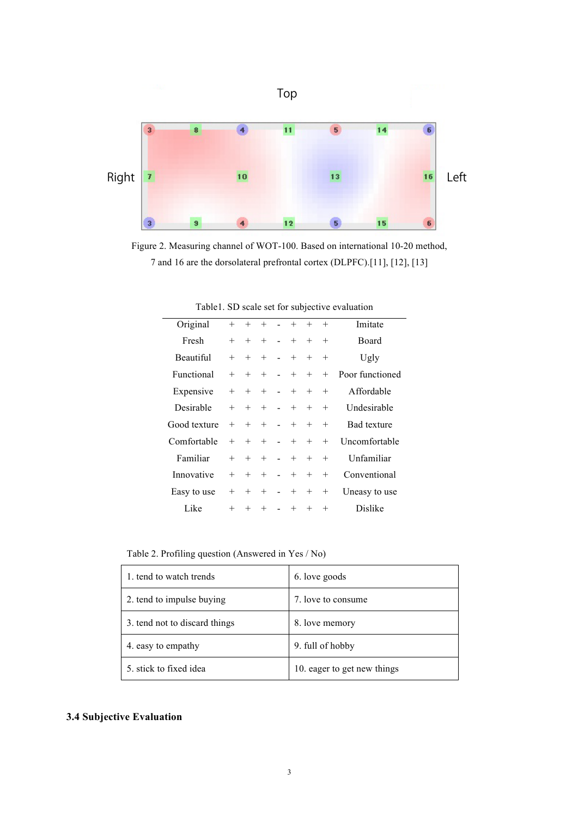

Figure 2. Measuring channel of WOT-100. Based on international 10-20 method, 7 and 16 are the dorsolateral prefrontal cortex (DLPFC).[11], [12], [13]

| Original     | $^{+}$ | $+$    | $+$                | $\Delta \sim 10^{-10}$       | $+$      | $+$    | $+$    | Imitate            |
|--------------|--------|--------|--------------------|------------------------------|----------|--------|--------|--------------------|
| Fresh        | $^{+}$ | $^{+}$ | $^{+}$             | $\blacksquare$               | $+$      | $^{+}$ | $^{+}$ | Board              |
| Beautiful    | $^{+}$ | $^{+}$ | $^{+}$             | $\sim$                       | $^{+}$   | $^{+}$ | $^{+}$ | Ugly               |
| Functional   | $^{+}$ | $+$    | $^{+}$             | <b>Contract Contract</b>     | $+$      | $^{+}$ | $+$    | Poor functioned    |
| Expensive    | $^{+}$ | $^{+}$ | $^{+}$             | <b>Contract</b>              | $^{+}$   | $^{+}$ | $^{+}$ | Affordable         |
| Desirable    | $^{+}$ | $^{+}$ | $^{+}$             | $\sim 100$                   | $^{+}$   | $^{+}$ | $^{+}$ | Undesirable        |
| Good texture | $^{+}$ | $^{+}$ | $^{+}$             | $\sim$ $-$                   | $^{+}$   | $^{+}$ | $^{+}$ | <b>Bad</b> texture |
| Comfortable  | $^{+}$ | $^{+}$ | $+$                |                              | $ +$ $-$ | $+$    | $^{+}$ | Uncomfortable      |
| Familiar     | $^{+}$ | $+$    | $^{+}$             |                              | $- +$    | $^{+}$ | $^{+}$ | Unfamiliar         |
| Innovative   | $^{+}$ | $^{+}$ | $^{+}$             | $\sim 10^{-1}$               | $+$      | $^{+}$ | $^{+}$ | Conventional       |
| Easy to use  | $^{+}$ | $^{+}$ | $\hspace{0.1mm} +$ | $\sim$ $-$                   | $^{+}$   | $^{+}$ | $^{+}$ | Uneasy to use      |
| Like         | $^{+}$ | $+$    | $+$                | $\mathcal{L}_{\text{max}}$ . | $+$      | $+$    | $^{+}$ | Dislike            |

Table1. SD scale set for subjective evaluation

Table 2. Profiling question (Answered in Yes / No)

| 1. tend to watch trends       | 6. love goods               |
|-------------------------------|-----------------------------|
| 2. tend to impulse buying     | 7. love to consume          |
| 3. tend not to discard things | 8. love memory              |
| 4. easy to empathy            | 9. full of hobby            |
| 5. stick to fixed idea        | 10. eager to get new things |

# **3.4 Subjective Evaluation**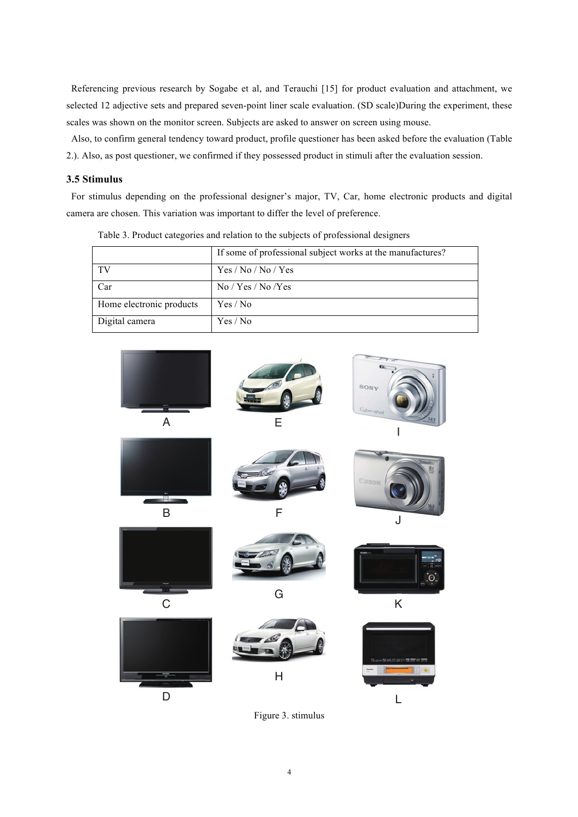Referencing previous research by Sogabe et al, and Terauchi [15] for product evaluation and attachment, we selected 12 adjective sets and prepared seven-point liner scale evaluation. (SD scale)During the experiment, these scales was shown on the monitor screen. Subjects are asked to answer on screen using mouse.

Also, to confirm general tendency toward product, profile questioner has been asked before the evaluation (Table 2.). Also, as post questioner, we confirmed if they possessed product in stimuli after the evaluation session.

# **3.5 Stimulus**

For stimulus depending on the professional designer's major, TV, Car, home electronic products and digital camera are chosen. This variation was important to differ the level of preference.

|                          | If some of professional subject works at the manufactures? |
|--------------------------|------------------------------------------------------------|
| TV                       | Yes / No / No / Yes                                        |
| Car                      | $\rm No$ / Yes / $\rm No$ /Yes                             |
| Home electronic products | Yes / No                                                   |
| Digital camera           | Yes / No                                                   |

Table 3. Product categories and relation to the subjects of professional designers



Figure 3. stimulus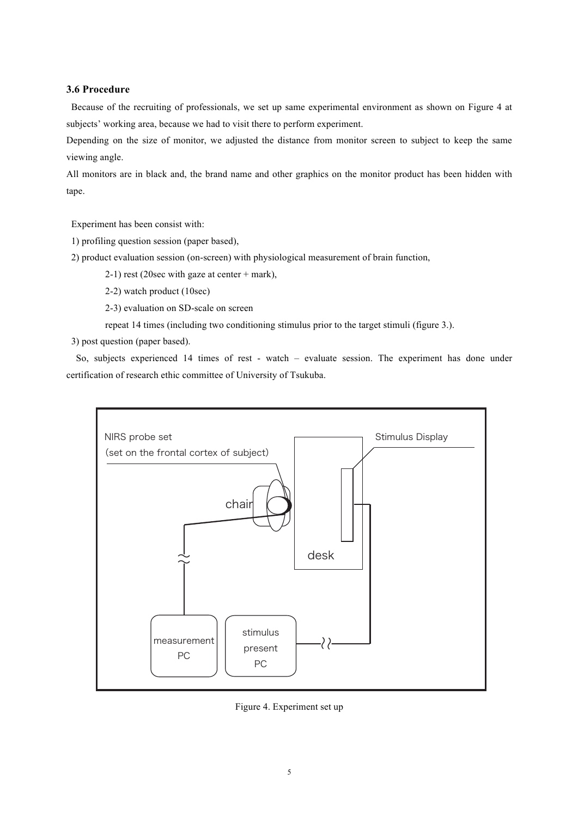# **3.6 Procedure**

Because of the recruiting of professionals, we set up same experimental environment as shown on Figure 4 at subjects' working area, because we had to visit there to perform experiment.

Depending on the size of monitor, we adjusted the distance from monitor screen to subject to keep the same viewing angle.

All monitors are in black and, the brand name and other graphics on the monitor product has been hidden with tape.

Experiment has been consist with:

1) profiling question session (paper based),

2) product evaluation session (on-screen) with physiological measurement of brain function,

2-1) rest (20sec with gaze at center + mark),

2-2) watch product (10sec)

2-3) evaluation on SD-scale on screen

repeat 14 times (including two conditioning stimulus prior to the target stimuli (figure 3.).

3) post question (paper based).

So, subjects experienced 14 times of rest - watch – evaluate session. The experiment has done under certification of research ethic committee of University of Tsukuba.



Figure 4. Experiment set up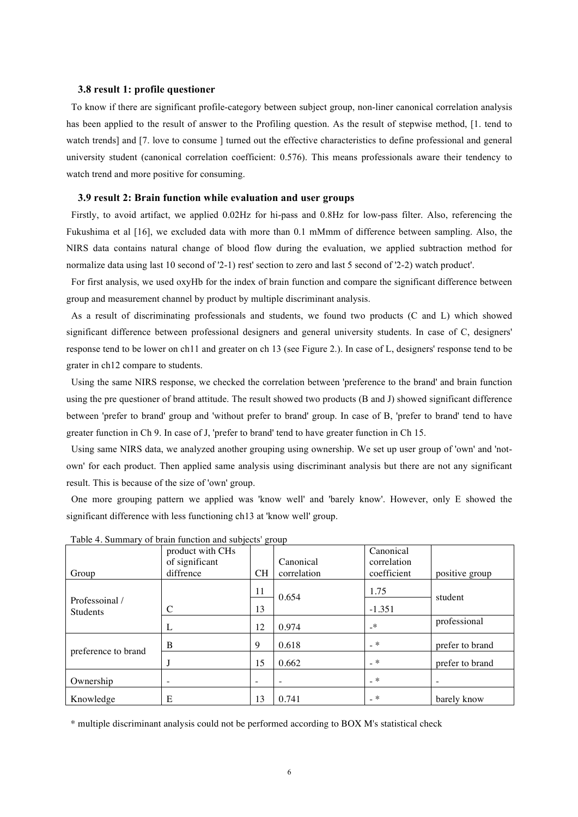# **3.8 result 1: profile questioner**

To know if there are significant profile-category between subject group, non-liner canonical correlation analysis has been applied to the result of answer to the Profiling question. As the result of stepwise method, [1. tend to watch trends] and [7. love to consume ] turned out the effective characteristics to define professional and general university student (canonical correlation coefficient: 0.576). This means professionals aware their tendency to watch trend and more positive for consuming.

## **3.9 result 2: Brain function while evaluation and user groups**

Firstly, to avoid artifact, we applied 0.02Hz for hi-pass and 0.8Hz for low-pass filter. Also, referencing the Fukushima et al [16], we excluded data with more than 0.1 mMmm of difference between sampling. Also, the NIRS data contains natural change of blood flow during the evaluation, we applied subtraction method for normalize data using last 10 second of '2-1) rest' section to zero and last 5 second of '2-2) watch product'.

For first analysis, we used oxyHb for the index of brain function and compare the significant difference between group and measurement channel by product by multiple discriminant analysis.

As a result of discriminating professionals and students, we found two products (C and L) which showed significant difference between professional designers and general university students. In case of C, designers' response tend to be lower on ch11 and greater on ch 13 (see Figure 2.). In case of L, designers' response tend to be grater in ch12 compare to students.

Using the same NIRS response, we checked the correlation between 'preference to the brand' and brain function using the pre questioner of brand attitude. The result showed two products (B and J) showed significant difference between 'prefer to brand' group and 'without prefer to brand' group. In case of B, 'prefer to brand' tend to have greater function in Ch 9. In case of J, 'prefer to brand' tend to have greater function in Ch 15.

Using same NIRS data, we analyzed another grouping using ownership. We set up user group of 'own' and 'notown' for each product. Then applied same analysis using discriminant analysis but there are not any significant result. This is because of the size of 'own' group.

One more grouping pattern we applied was 'know well' and 'barely know'. However, only E showed the significant difference with less functioning ch13 at 'know well' group.

|                                   | product with CHs  |                          |                          | Canonical    |                   |  |
|-----------------------------------|-------------------|--------------------------|--------------------------|--------------|-------------------|--|
|                                   | of significant    |                          | Canonical                | correlation  |                   |  |
| Group                             | diffrence         | <b>CH</b>                | correlation              | coefficient  | positive group    |  |
| Professoinal /<br><b>Students</b> |                   | 11                       | 0.654                    | 1.75         | student           |  |
|                                   | $\mathsf{C}$      | 13                       |                          | $-1.351$     |                   |  |
|                                   | L                 | 12                       | 0.974                    | $\mathbf{r}$ | professional      |  |
| preference to brand               | B                 | 9                        | 0.618                    | $-*$         | prefer to brand   |  |
|                                   |                   | 15                       | 0.662                    | _ *          | prefer to brand   |  |
| Ownership                         | $\qquad \qquad -$ | $\overline{\phantom{a}}$ | $\overline{\phantom{a}}$ | $-*$         | $\qquad \qquad -$ |  |
| Knowledge                         | E                 | 13                       | 0.741                    | $_{-}$ $*$   | barely know       |  |

Table 4. Summary of brain function and subjects' group

\* multiple discriminant analysis could not be performed according to BOX M's statistical check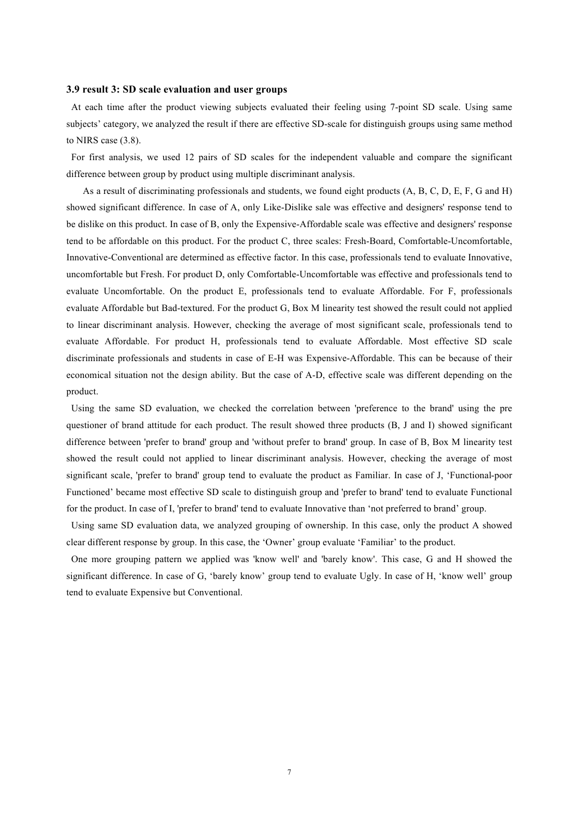# **3.9 result 3: SD scale evaluation and user groups**

At each time after the product viewing subjects evaluated their feeling using 7-point SD scale. Using same subjects' category, we analyzed the result if there are effective SD-scale for distinguish groups using same method to NIRS case (3.8).

For first analysis, we used 12 pairs of SD scales for the independent valuable and compare the significant difference between group by product using multiple discriminant analysis.

As a result of discriminating professionals and students, we found eight products (A, B, C, D, E, F, G and H) showed significant difference. In case of A, only Like-Dislike sale was effective and designers' response tend to be dislike on this product. In case of B, only the Expensive-Affordable scale was effective and designers' response tend to be affordable on this product. For the product C, three scales: Fresh-Board, Comfortable-Uncomfortable, Innovative-Conventional are determined as effective factor. In this case, professionals tend to evaluate Innovative, uncomfortable but Fresh. For product D, only Comfortable-Uncomfortable was effective and professionals tend to evaluate Uncomfortable. On the product E, professionals tend to evaluate Affordable. For F, professionals evaluate Affordable but Bad-textured. For the product G, Box M linearity test showed the result could not applied to linear discriminant analysis. However, checking the average of most significant scale, professionals tend to evaluate Affordable. For product H, professionals tend to evaluate Affordable. Most effective SD scale discriminate professionals and students in case of E-H was Expensive-Affordable. This can be because of their economical situation not the design ability. But the case of A-D, effective scale was different depending on the product.

Using the same SD evaluation, we checked the correlation between 'preference to the brand' using the pre questioner of brand attitude for each product. The result showed three products (B, J and I) showed significant difference between 'prefer to brand' group and 'without prefer to brand' group. In case of B, Box M linearity test showed the result could not applied to linear discriminant analysis. However, checking the average of most significant scale, 'prefer to brand' group tend to evaluate the product as Familiar. In case of J, 'Functional-poor Functioned' became most effective SD scale to distinguish group and 'prefer to brand' tend to evaluate Functional for the product. In case of I, 'prefer to brand' tend to evaluate Innovative than 'not preferred to brand' group.

Using same SD evaluation data, we analyzed grouping of ownership. In this case, only the product A showed clear different response by group. In this case, the 'Owner' group evaluate 'Familiar' to the product.

One more grouping pattern we applied was 'know well' and 'barely know'. This case, G and H showed the significant difference. In case of G, 'barely know' group tend to evaluate Ugly. In case of H, 'know well' group tend to evaluate Expensive but Conventional.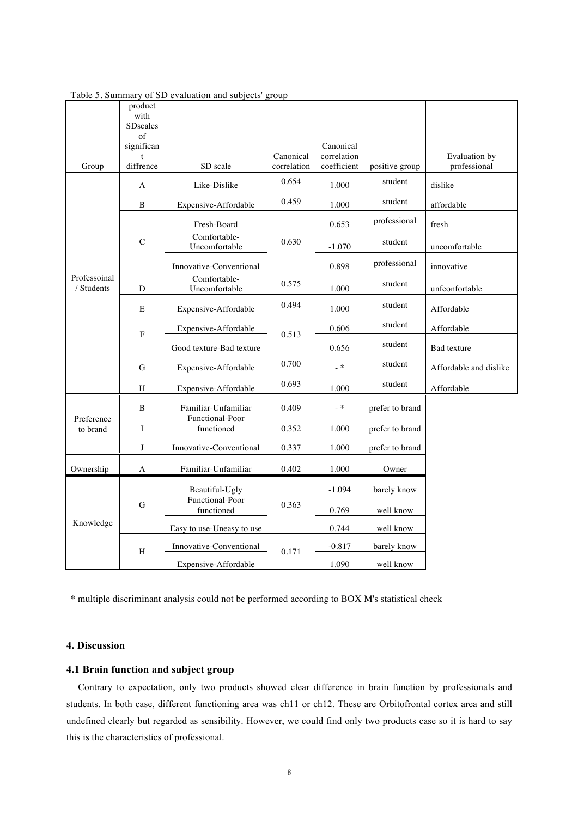|                            | product<br>with           |                               |                          |                            |                 |                               |
|----------------------------|---------------------------|-------------------------------|--------------------------|----------------------------|-----------------|-------------------------------|
|                            | <b>SDscales</b><br>of     |                               |                          |                            |                 |                               |
|                            | significan                |                               |                          | Canonical                  |                 |                               |
| Group                      | $\mathbf{f}$<br>diffrence | SD scale                      | Canonical<br>correlation | correlation<br>coefficient | positive group  | Evaluation by<br>professional |
|                            | A                         | Like-Dislike                  | 0.654                    | $1.000\,$                  | student         | dislike                       |
|                            | B                         | Expensive-Affordable          | 0.459                    | 1.000                      | student         | affordable                    |
|                            |                           | Fresh-Board                   |                          | 0.653                      | professional    | fresh                         |
|                            | $\mathcal{C}$             | Comfortable-<br>Uncomfortable | 0.630                    | $-1.070$                   | student         | uncomfortable                 |
|                            |                           | Innovative-Conventional       |                          | 0.898                      | professional    | innovative                    |
| Professoinal<br>/ Students | D                         | Comfortable-<br>Uncomfortable | 0.575                    | 1.000                      | student         | unfconfortable                |
|                            | E                         | Expensive-Affordable          | 0.494                    | 1.000                      | student         | Affordable                    |
|                            | $\mathbf F$               | Expensive-Affordable          | 0.513                    | 0.606                      | student         | Affordable                    |
|                            |                           | Good texture-Bad texture      |                          | 0.656                      | student         | Bad texture                   |
|                            | G                         | Expensive-Affordable          | 0.700                    | $-$ *                      | student         | Affordable and dislike        |
|                            | H                         | Expensive-Affordable          | 0.693                    | 1.000                      | student         | Affordable                    |
|                            | $\, {\bf B}$              | Familiar-Unfamiliar           | 0.409                    | $-$ *                      | prefer to brand |                               |
| Preference<br>to brand     | I                         | Functional-Poor<br>functioned | 0.352                    | 1.000                      | prefer to brand |                               |
|                            | J                         | Innovative-Conventional       | 0.337                    | 1.000                      | prefer to brand |                               |
| Ownership                  | $\mathbf{A}$              | Familiar-Unfamiliar           | 0.402                    | 1.000                      | Owner           |                               |
|                            | G                         | Beautiful-Ugly                |                          | $-1.094$                   | barely know     |                               |
|                            |                           | Functional-Poor<br>functioned | 0.363                    | 0.769                      | well know       |                               |
| Knowledge                  |                           | Easy to use-Uneasy to use     |                          | 0.744                      | well know       |                               |
|                            | H                         | Innovative-Conventional       | 0.171                    | $-0.817$                   | barely know     |                               |
|                            |                           | Expensive-Affordable          |                          | 1.090                      | well know       |                               |

| Table 5. Summary of SD evaluation and subjects' group |  |  |  |
|-------------------------------------------------------|--|--|--|
|-------------------------------------------------------|--|--|--|

\* multiple discriminant analysis could not be performed according to BOX M's statistical check

# **4. Discussion**

# **4.1 Brain function and subject group**

Contrary to expectation, only two products showed clear difference in brain function by professionals and students. In both case, different functioning area was ch11 or ch12. These are Orbitofrontal cortex area and still undefined clearly but regarded as sensibility. However, we could find only two products case so it is hard to say this is the characteristics of professional.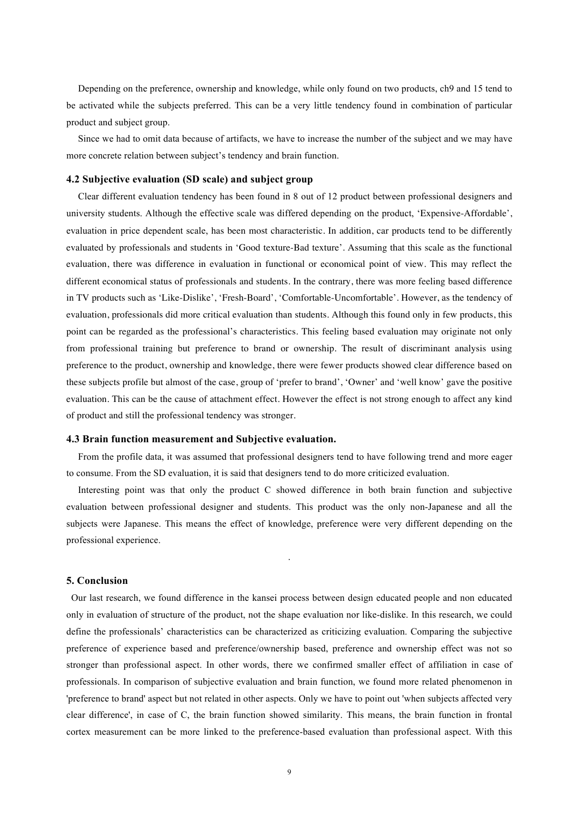Depending on the preference, ownership and knowledge, while only found on two products, ch9 and 15 tend to be activated while the subjects preferred. This can be a very little tendency found in combination of particular product and subject group.

Since we had to omit data because of artifacts, we have to increase the number of the subject and we may have more concrete relation between subject's tendency and brain function.

#### **4.2 Subjective evaluation (SD scale) and subject group**

Clear different evaluation tendency has been found in 8 out of 12 product between professional designers and university students. Although the effective scale was differed depending on the product, 'Expensive-Affordable', evaluation in price dependent scale, has been most characteristic. In addition, car products tend to be differently evaluated by professionals and students in 'Good texture-Bad texture'. Assuming that this scale as the functional evaluation, there was difference in evaluation in functional or economical point of view. This may reflect the different economical status of professionals and students. In the contrary, there was more feeling based difference in TV products such as 'Like-Dislike', 'Fresh-Board', 'Comfortable-Uncomfortable'. However, as the tendency of evaluation, professionals did more critical evaluation than students. Although this found only in few products, this point can be regarded as the professional's characteristics. This feeling based evaluation may originate not only from professional training but preference to brand or ownership. The result of discriminant analysis using preference to the product, ownership and knowledge, there were fewer products showed clear difference based on these subjects profile but almost of the case, group of 'prefer to brand', 'Owner' and 'well know' gave the positive evaluation. This can be the cause of attachment effect. However the effect is not strong enough to affect any kind of product and still the professional tendency was stronger.

# **4.3 Brain function measurement and Subjective evaluation.**

From the profile data, it was assumed that professional designers tend to have following trend and more eager to consume. From the SD evaluation, it is said that designers tend to do more criticized evaluation.

Interesting point was that only the product C showed difference in both brain function and subjective evaluation between professional designer and students. This product was the only non-Japanese and all the subjects were Japanese. This means the effect of knowledge, preference were very different depending on the professional experience.

.

## **5. Conclusion**

Our last research, we found difference in the kansei process between design educated people and non educated only in evaluation of structure of the product, not the shape evaluation nor like-dislike. In this research, we could define the professionals' characteristics can be characterized as criticizing evaluation. Comparing the subjective preference of experience based and preference/ownership based, preference and ownership effect was not so stronger than professional aspect. In other words, there we confirmed smaller effect of affiliation in case of professionals. In comparison of subjective evaluation and brain function, we found more related phenomenon in 'preference to brand' aspect but not related in other aspects. Only we have to point out 'when subjects affected very clear difference', in case of C, the brain function showed similarity. This means, the brain function in frontal cortex measurement can be more linked to the preference-based evaluation than professional aspect. With this